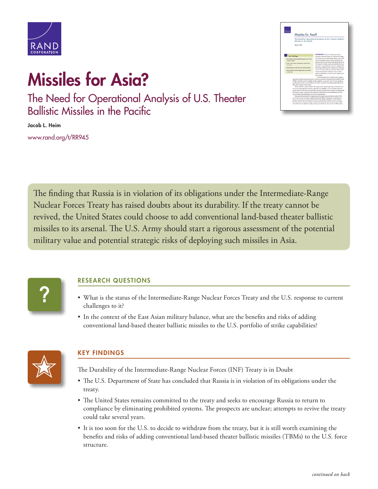

## **Missiles for Asia?**

The Need for Operational Analysis of U.S. Theater Ballistic Missiles in the Pacific

**Jacob L. Heim** [www.rand.org/t/RR945](http://www.rand.org/t/RR945)



The finding that Russia is in violation of its obligations under the Intermediate-Range Nuclear Forces Treaty has raised doubts about its durability. If the treaty cannot be revived, the United States could choose to add conventional land-based theater ballistic missiles to its arsenal. The U.S. Army should start a rigorous assessment of the potential military value and potential strategic risks of deploying such missiles in Asia.



## **RESEARCH QUESTIONS**

- What is the status of the Intermediate-Range Nuclear Forces Treaty and the U.S. response to current challenges to it?
- In the context of the East Asian military balance, what are the benefits and risks of adding conventional land-based theater ballistic missiles to the U.S. portfolio of strike capabilities?



## **KEY FINDINGS**

The Durability of the Intermediate-Range Nuclear Forces (INF) Treaty is in Doubt

- The U.S. Department of State has concluded that Russia is in violation of its obligations under the treaty.
- The United States remains committed to the treaty and seeks to encourage Russia to return to compliance by eliminating prohibited systems. The prospects are unclear; attempts to revive the treaty could take several years.
- It is too soon for the U.S. to decide to withdraw from the treaty, but it is still worth examining the benefits and risks of adding conventional land-based theater ballistic missiles (TBMs) to the U.S. force structure.